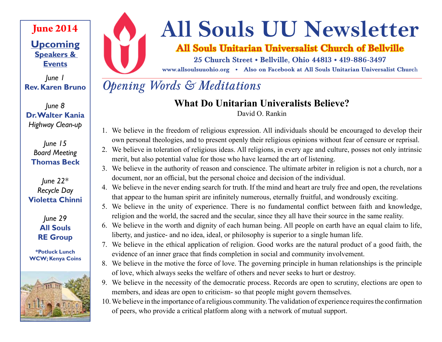# **June 2014**

**Upcoming Speakers & Events**

*June 1* **Rev. Karen Bruno**

*June 8* **Dr. Walter Kania**  *Highway Clean-up*

#### *June 15 Board Meeting* **Thomas Beck**

#### *June 22\* Recycle Day* **Violetta Chinni**

*June 29* **All Souls RE Group**

**\*Potluck Lunch WCW; Kenya Coins**





# **All Souls UU Newsletter**

# **All Souls Unitarian Universalist Church of Bellville**

**25 Church Street • Bellville, Ohio 44813 • 419-886-3497**

**www.allsoulsuuohio.org • Also on Facebook at All Souls Unitarian Universalist Churc**h

# *Opening Words & Meditations*

# **What Do Unitarian Univeralists Believe?**

David O. Rankin

- 1. We believe in the freedom of religious expression. All individuals should be encouraged to develop their own personal theologies, and to present openly their religious opinions without fear of censure or reprisal.
- 2. We believe in toleration of religious ideas. All religions, in every age and culture, posses not only intrinsic merit, but also potential value for those who have learned the art of listening.
- 3. We believe in the authority of reason and conscience. The ultimate arbiter in religion is not a church, nor a document, nor an official, but the personal choice and decision of the individual.
- 4. We believe in the never ending search for truth. If the mind and heart are truly free and open, the revelations that appear to the human spirit are infinitely numerous, eternally fruitful, and wondrously exciting.
- 5. We believe in the unity of experience. There is no fundamental conflict between faith and knowledge, religion and the world, the sacred and the secular, since they all have their source in the same reality.
- 6. We believe in the worth and dignity of each human being. All people on earth have an equal claim to life, liberty, and justice- and no idea, ideal, or philosophy is superior to a single human life.
- 7. We believe in the ethical application of religion. Good works are the natural product of a good faith, the evidence of an inner grace that finds completion in social and community involvement.
- 8. We believe in the motive the force of love. The governing principle in human relationships is the principle of love, which always seeks the welfare of others and never seeks to hurt or destroy.
- 9. We believe in the necessity of the democratic process. Records are open to scrutiny, elections are open to members, and ideas are open to criticism- so that people might govern themselves.
- 10.We believe in the importance of a religious community. The validation of experience requires the confirmation of peers, who provide a critical platform along with a network of mutual support.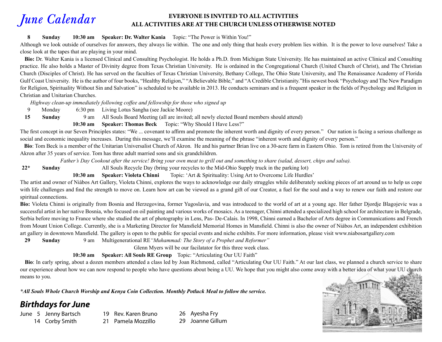#### *June Calendar* **EVERYONE IS INVITED TO ALL ACTIVITIES ALL ACTIVITIES ARE AT THE CHURCH UNLESS OTHERWISE NOTED**

#### **8 Sunday 10:30 am Speaker: Dr. Walter Kania** Topic: "The Power is Within You!"

Although we look outside of ourselves for answers, they always lie within. The one and only thing that heals every problem lies within. It is the power to love ourselves! Take a close look at the tapes that are playing in your mind.

 **Bio:** Dr. Walter Kania is a licensed Clinical and Consulting Psychologist. He holds a Ph.D. from Michigan State University. He has maintained an active Clinical and Consulting practice. He also holds a Master of Divinity degree from Texas Christian University. He is ordained in the Congregational Church (United Church of Christ), and The Christian Church (Disciples of Christ). He has served on the faculties of Texas Christian University, Bethany College, The Ohio State University, and The Renaissance Academy of Florida Gulf Coast University. He is the author of four books, "Healthy Religion," "A Believable Bible," and "A Credible Christianity." His newest book "Psychology and The New Paradigm for Religion, Spirituality Without Sin and Salvation" is scheduled to be available in 2013. He conducts seminars and is a frequent speaker in the fields of Psychology and Religion in Christian and Unitarian Churches.

 *Highway clean-up immediately following coffee and fellowship for those who signed up*

9 Monday 6:30 pm Living Lotus Sangha (see Jackie Moore)

**15 Sunday** 9 am All Souls Board Meeting (all are invited; all newly elected Board members should attend)

 **10:30 am Speaker: Thomas Beck** Topic: "Why Should I Have Less?"

The first concept in our Seven Principles states: "We ... covenant to affirm and promote the inherent worth and dignity of every person." Our nation is facing a serious challenge as social and economic inequality increases. During this message, we'll examine the meaning of the phrase "inherent worth and dignity of every person."

Bio: Tom Beck is a member of the Unitarian Universalist Church of Akron. He and his partner Brian live on a 30-acre farm in Eastern Ohio. Tom is retired from the University of Akron after 35 years of service. Tom has three adult married sons and six grandchildren.

*Father's Day Cookout after the service! Bring your own meat to grill out and something to share (salad, dessert, chips and salsa).*

**22\* Sunday** All Souls Recycle Day (bring your recycles to the Mid-Ohio Supply truck in the parking lot)

 **10:30 am Speaker: Violeta Chinni** Topic: 'Art & Spirituality: Using Art to Overcome Life Hurdles'

The artist and owner of Niàbos Art Gallery, Violeta Chinni, explores the ways to acknowledge our daily struggles while deliberately seeking pieces of art around us to help us cope with life challenges and find the strength to move on. Learn how art can be viewed as a grand gift of our Creator, a fuel for the soul and a way to renew our faith and restore our spiritual connections.

Bio: Violeta Chinni is originally from Bosnia and Herzegovina, former Yugoslavia, and was introduced to the world of art at a young age. Her father Djordje Blagojevic was a successful artist in her native Bosnia, who focused on oil painting and various works of mosaics. As a teenager, Chinni attended a specialized high school for architecture in Belgrade, Serbia before moving to France where she studied the art of photography in Lens, Pas- De-Calais. In 1998, Chinni earned a Bachelor of Arts degree in Communications and French from Mount Union College. Currently, she is a Marketing Director for Mansfield Memorial Homes in Mansfield. Chinni is also the owner of Niàbos Art, an independent exhibition art gallery in downtown Mansfield. The gallery is open to the public for special events and niche exhibits. For more information, please visit www.niabosartgallery.com

**29 Sunday** 9 am Multigenerational RE*"Muhammad: The Story of a Prophet and Reformer"*

Glenn Myers will be our facilatator for this three week class.

**10:30 am Speaker: All Souls RE Group** Topic: "Articulating Our UU Faith"

 **Bio**: In early spring, about a dozen members attended a class led by Joan Richmond, called "Articulating Our UU Faith." At our last class, we planned a church service to share our experience about how we can now respond to people who have questions about being a UU. We hope that you might also come away with a better idea of what your UU church means to you.

*\*All Souls Whole Church Worship and Kenya Coin Collection. Monthly Potluck Meal to follow the service.*

### *Birthdays for June*

June 5 Jenny Bartsch 14 Corby Smith

- 19 Rev. Karen Bruno 21 Pamela Mozzillo
- 26 Ayesha Fry 29 Joanne Gillum

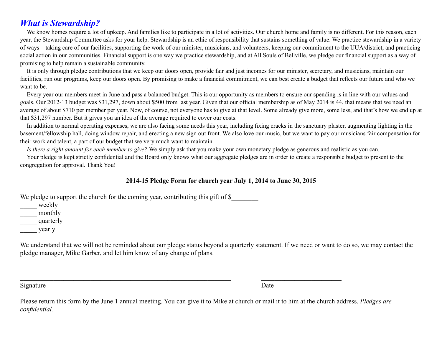### *What is Stewardship?*

We know homes require a lot of upkeep. And families like to participate in a lot of activities. Our church home and family is no different. For this reason, each year, the Stewardship Committee asks for your help. Stewardship is an ethic of responsibility that sustains something of value. We practice stewardship in a variety of ways – taking care of our facilities, supporting the work of our minister, musicians, and volunteers, keeping our commitment to the UUA/district, and practicing social action in our communities. Financial support is one way we practice stewardship, and at All Souls of Bellville, we pledge our financial support as a way of promising to help remain a sustainable community.

It is only through pledge contributions that we keep our doors open, provide fair and just incomes for our minister, secretary, and musicians, maintain our facilities, run our programs, keep our doors open. By promising to make a financial commitment, we can best create a budget that reflects our future and who we want to be.

Every year our members meet in June and pass a balanced budget. This is our opportunity as members to ensure our spending is in line with our values and goals. Our 2012-13 budget was \$31,297, down about \$500 from last year. Given that our official membership as of May 2014 is 44, that means that we need an average of about \$710 per member per year. Now, of course, not everyone has to give at that level. Some already give more, some less, and that's how we end up at that \$31,297 number. But it gives you an idea of the average required to cover our costs.

In addition to normal operating expenses, we are also facing some needs this year, including fixing cracks in the sanctuary plaster, augmenting lighting in the basement/fellowship hall, doing window repair, and erecting a new sign out front. We also love our music, but we want to pay our musicians fair compensation for their work and talent, a part of our budget that we very much want to maintain.

*Is there a right amount for each member to give?* We simply ask that you make your own monetary pledge as generous and realistic as you can.

Your pledge is kept strictly confidential and the Board only knows what our aggregate pledges are in order to create a responsible budget to present to the congregation for approval. Thank You!

#### **2014-15 Pledge Form for church year July 1, 2014 to June 30, 2015**

We pledge to support the church for the coming year, contributing this gift of \$

\_\_\_\_\_ weekly

\_\_\_\_\_ monthly

\_\_\_\_\_ quarterly

\_\_\_\_\_ yearly

We understand that we will not be reminded about our pledge status beyond a quarterly statement. If we need or want to do so, we may contact the pledge manager, Mike Garber, and let him know of any change of plans.

Signature Date

Please return this form by the June 1 annual meeting. You can give it to Mike at church or mail it to him at the church address. *Pledges are confidential.*

 $\_$  , and the set of the set of the set of the set of the set of the set of the set of the set of the set of the set of the set of the set of the set of the set of the set of the set of the set of the set of the set of th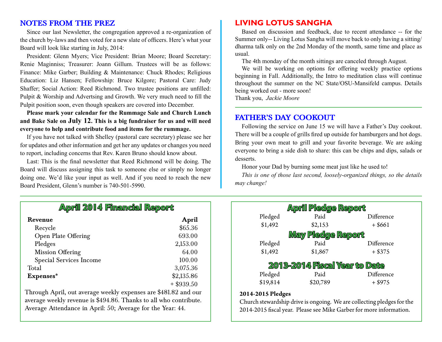#### **NOTES FROM THE PREZ**

Since our last Newsletter, the congregation approved a re-organization of the church by-laws and then voted for a new slate of officers. Here's what your Board will look like starting in July, 2014:

President: Glenn Myers; Vice President: Brian Moore; Board Secretary: Renie Maginniss; Treasurer: Joann Gillum. Trustees will be as follows: Finance: Mike Garber; Building & Maintenance: Chuck Rhodes; Religious Education: Liz Hansen; Fellowship: Bruce Kilgore; Pastoral Care: Judy Shaffer; Social Action: Reed Richmond. Two trustee positions are unfilled: Pulpit & Worship and Advertsing and Growth. We very much need to fill the Pulpit position soon, even though speakers are covered into December.

**Please mark your calendar for the Rummage Sale and Church Lunch and Bake Sale on July 12. This is a big fundraiser for us and will need everyone to help and contribute food and items for the rummage.**

If you have not talked with Shelley (pastoral care secretary) please see her for updates and other information and get her any updates or changes you need to report, including concerns that Rev. Karen Bruno should know about.

Last: This is the final newsletter that Reed Richmond will be doing. The Board will discuss assigning this task to someone else or simply no longer doing one. We'd like your input as well. And if you need to reach the new Board President, Glenn's number is 740-501-5990.

#### **LIVING LOTUS SANGHA**

Based on discussion and feedback, due to recent attendance -- for the Summer only-- Living Lotus Sangha will move back to only having a sitting/ dharma talk only on the 2nd Monday of the month, same time and place as usual.

The 4th monday of the month sittings are canceled through August.

We will be working on options for offering weekly practice options beginning in Fall. Additionally, the Intro to meditation class will continue throughout the summer on the NC State/OSU-Mansifeld campus. Details being worked out - more soon!

Thank you, *Jackie Moore*

#### **FATHER'S DAY COOKOUT**

Following the service on June 15 we will have a Father's Day cookout. There will be a couple of grills fired up outside for hamburgers and hot dogs. Bring your own meat to grill and your favorite beverage. We are asking everyone to bring a side dish to share: this can be chips and dips, salads or desserts.

Honor your Dad by burning some meat just like he used to!

*This is one of those last second, loosely-organized things, so the details may change!*

| <b>April 2014 Financial Report</b>                             |                            |                     | <b>April Pledge Report</b>    |                         |  |
|----------------------------------------------------------------|----------------------------|---------------------|-------------------------------|-------------------------|--|
| Revenue<br>Recycle                                             | April<br>\$65.36           | Pledged<br>\$1,492  | Paid<br>\$2,153               | Difference<br>$+$ \$661 |  |
| Open Plate Offering                                            | 693.00                     |                     | May Pledge Report             |                         |  |
| Pledges                                                        | 2,153.00                   | Pledged             | Paid                          | Difference              |  |
| Mission Offering                                               | 64.00                      | \$1,492             | \$1,867                       | $+$ \$375               |  |
| <b>Special Services Income</b><br>Total                        | 100.00<br>3,075.36         |                     | 2013-2014 Fiscal Year to Date |                         |  |
| Expenses*                                                      | \$2,135.86<br>$+$ \$939.50 | Pledged<br>\$19,814 | Paid<br>\$20,789              | Difference<br>$+$ \$975 |  |
| hrough April, out average weekly expenses are \$481.82 and our |                            | 2014-2015 Pledges   |                               |                         |  |

Through April, out average average weekly revenue is \$494.86. Thanks to all who contribute. Average Attendance in April: 50; Average for the Year: 44.

Church stewardship drive is ongoing. We are collecting pledges for the 2014-2015 fiscal year. Please see Mike Garber for more information.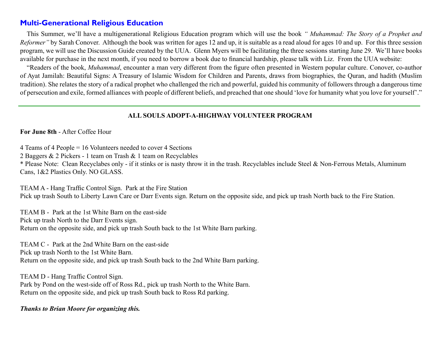#### **Multi-Generational Religious Education**

This Summer, we'll have a multigenerational Religious Education program which will use the book *" Muhammad: The Story of a Prophet and Reformer*" by Sarah Conover. Although the book was written for ages 12 and up, it is suitable as a read aloud for ages 10 and up. For this three session program, we will use the Discussion Guide created by the UUA. Glenn Myers will be facilitating the three sessions starting June 29. We'll have books available for purchase in the next month, if you need to borrow a book due to financial hardship, please talk with Liz. From the UUA website:

"Readers of the book, *Muhammad*, encounter a man very different from the figure often presented in Western popular culture. Conover, co-author of Ayat Jamilah: Beautiful Signs: A Treasury of Islamic Wisdom for Children and Parents, draws from biographies, the Quran, and hadith (Muslim tradition). She relates the story of a radical prophet who challenged the rich and powerful, guided his community of followers through a dangerous time of persecution and exile, formed alliances with people of different beliefs, and preached that one should 'love for humanity what you love for yourself'."

#### **ALL SOULS ADOPT-A-HIGHWAY VOLUNTEER PROGRAM**

**For June 8th** - After Coffee Hour

4 Teams of 4 People = 16 Volunteers needed to cover 4 Sections

2 Baggers & 2 Pickers - 1 team on Trash & 1 team on Recyclables

\* Please Note: Clean Recyclabes only - if it stinks or is nasty throw it in the trash. Recyclables include Steel & Non-Ferrous Metals, Aluminum Cans, 1&2 Plastics Only. NO GLASS.

TEAM A - Hang Traffic Control Sign. Park at the Fire Station Pick up trash South to Liberty Lawn Care or Darr Events sign. Return on the opposite side, and pick up trash North back to the Fire Station.

TEAM B - Park at the 1st White Barn on the east-side Pick up trash North to the Darr Events sign. Return on the opposite side, and pick up trash South back to the 1st White Barn parking.

TEAM C - Park at the 2nd White Barn on the east-side Pick up trash North to the 1st White Barn. Return on the opposite side, and pick up trash South back to the 2nd White Barn parking.

TEAM D - Hang Traffic Control Sign. Park by Pond on the west-side off of Ross Rd., pick up trash North to the White Barn. Return on the opposite side, and pick up trash South back to Ross Rd parking.

#### *Thanks to Brian Moore for organizing this.*